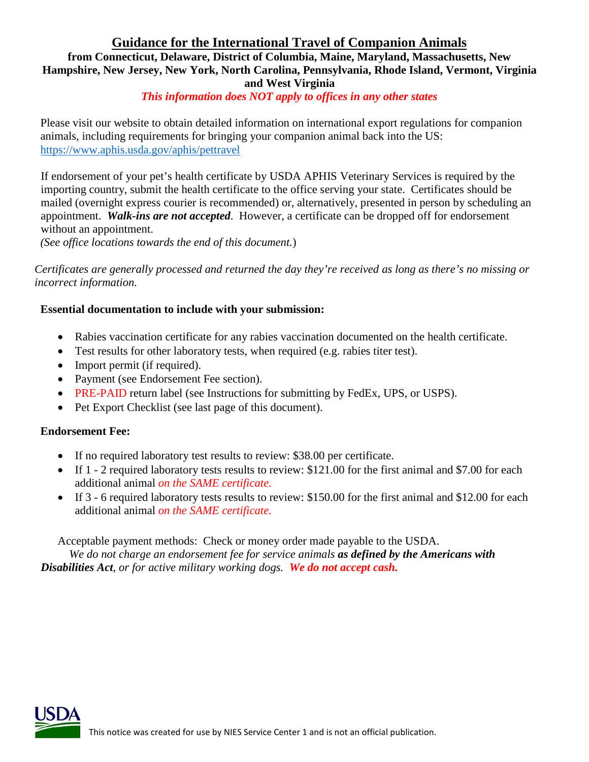## **Guidance for the International Travel of Companion Animals**

## **from Connecticut, Delaware, District of Columbia, Maine, Maryland, Massachusetts, New Hampshire, New Jersey, New York, North Carolina, Pennsylvania, Rhode Island, Vermont, Virginia and West Virginia**

## *This information does NOT apply to offices in any other states*

Please visit our website to obtain detailed information on international export regulations for companion animals, including requirements for bringing your companion animal back into the US: <https://www.aphis.usda.gov/aphis/pettravel>

If endorsement of your pet's health certificate by USDA APHIS Veterinary Services is required by the importing country, submit the health certificate to the office serving your state. Certificates should be mailed (overnight express courier is recommended) or, alternatively, presented in person by scheduling an appointment. *Walk-ins are not accepted*. However, a certificate can be dropped off for endorsement without an appointment.

*(See office locations towards the end of this document.*)

*Certificates are generally processed and returned the day they're received as long as there's no missing or incorrect information.*

### **Essential documentation to include with your submission:**

- Rabies vaccination certificate for any rabies vaccination documented on the health certificate.
- Test results for other laboratory tests, when required (e.g. rabies titer test).
- Import permit (if required).
- Payment (see Endorsement Fee section).
- PRE-PAID return label (see Instructions for submitting by FedEx, UPS, or USPS).
- Pet Export Checklist (see last page of this document).

#### **Endorsement Fee:**

- If no required laboratory test results to review: \$38.00 per certificate.
- If 1 2 required laboratory tests results to review: \$121.00 for the first animal and \$7.00 for each additional animal *on the SAME certificate.*
- If 3 6 required laboratory tests results to review: \$150.00 for the first animal and \$12.00 for each additional animal *on the SAME certificate.*

Acceptable payment methods: Check or money order made payable to the USDA. *We do not charge an endorsement fee for service animals as defined by the Americans with Disabilities Act, or for active military working dogs. We do not accept cash.*

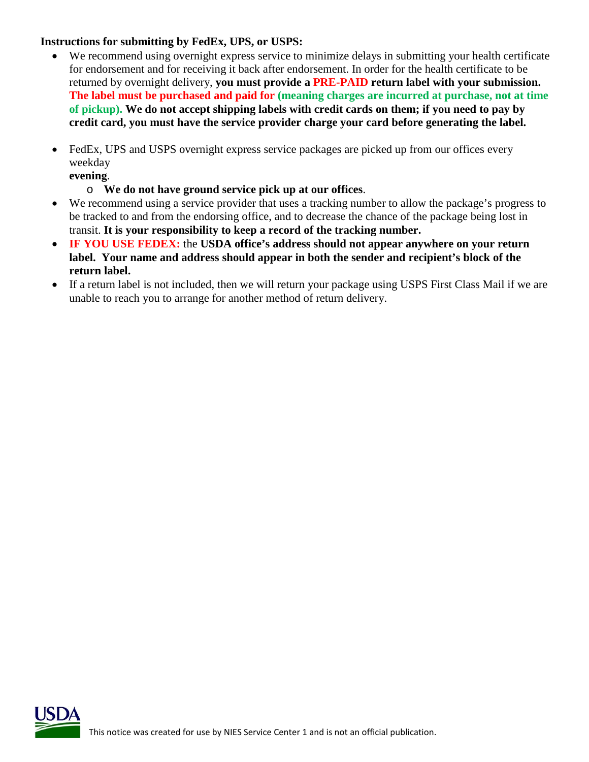## **Instructions for submitting by FedEx, UPS, or USPS:**

- We recommend using overnight express service to minimize delays in submitting your health certificate for endorsement and for receiving it back after endorsement. In order for the health certificate to be returned by overnight delivery, **you must provide a PRE-PAID return label with your submission. The label must be purchased and paid for (meaning charges are incurred at purchase, not at time of pickup). We do not accept shipping labels with credit cards on them; if you need to pay by credit card, you must have the service provider charge your card before generating the label.**
- FedEx, UPS and USPS overnight express service packages are picked up from our offices every weekday

**evening**.

- o **We do not have ground service pick up at our offices**.
- We recommend using a service provider that uses a tracking number to allow the package's progress to be tracked to and from the endorsing office, and to decrease the chance of the package being lost in transit. **It is your responsibility to keep a record of the tracking number.**
- **IF YOU USE FEDEX:** the **USDA office's address should not appear anywhere on your return label. Your name and address should appear in both the sender and recipient's block of the return label.**
- If a return label is not included, then we will return your package using USPS First Class Mail if we are unable to reach you to arrange for another method of return delivery.